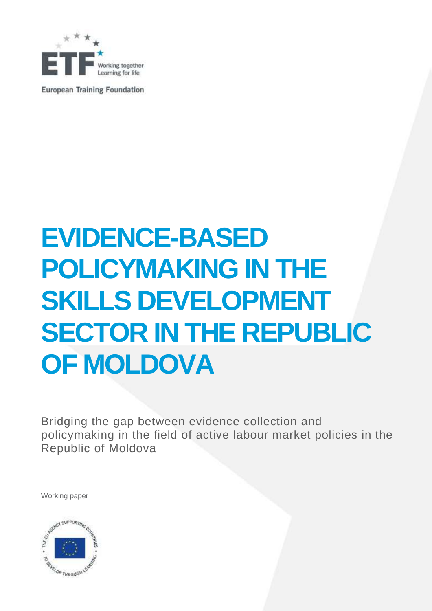

**European Training Foundation** 

# **EVIDENCE-BASED POLICYMAKING IN THE SKILLS DEVELOPMENT SECTOR IN THE REPUBLIC OF MOLDOVA**

Bridging the gap between evidence collection and policymaking in the field of active labour market policies in the Republic of Moldova

Working paper

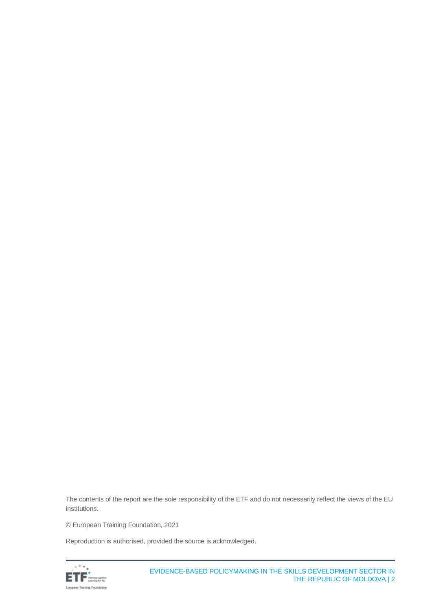The contents of the report are the sole responsibility of the ETF and do not necessarily reflect the views of the EU institutions.

© European Training Foundation, 2021

Reproduction is authorised, provided the source is acknowledged.

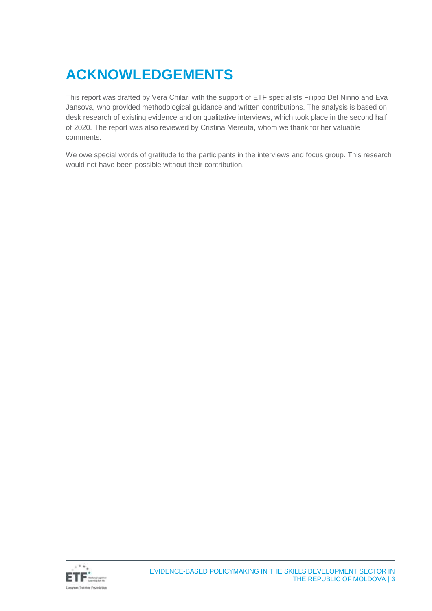# **ACKNOWLEDGEMENTS**

This report was drafted by Vera Chilari with the support of ETF specialists Filippo Del Ninno and Eva Jansova, who provided methodological guidance and written contributions. The analysis is based on desk research of existing evidence and on qualitative interviews, which took place in the second half of 2020. The report was also reviewed by Cristina Mereuta, whom we thank for her valuable comments.

We owe special words of gratitude to the participants in the interviews and focus group. This research would not have been possible without their contribution.

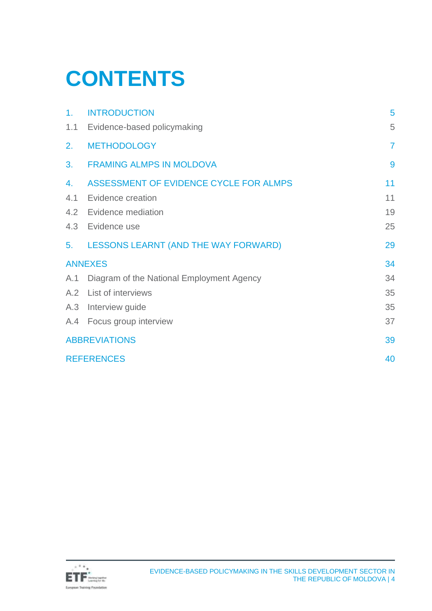# **CONTENTS**

| 1.                   | <b>INTRODUCTION</b>                         | 5              |
|----------------------|---------------------------------------------|----------------|
| 1.1                  | Evidence-based policymaking                 | 5              |
| 2.                   | <b>METHODOLOGY</b>                          | $\overline{7}$ |
| 3.                   | <b>FRAMING ALMPS IN MOLDOVA</b>             | 9              |
| 4.                   | ASSESSMENT OF EVIDENCE CYCLE FOR ALMPS      | 11             |
| 4.1                  | Evidence creation                           | 11             |
| 4.2                  | Evidence mediation                          | 19             |
| 4.3                  | Evidence use                                | 25             |
| 5.                   | <b>LESSONS LEARNT (AND THE WAY FORWARD)</b> | 29             |
| <b>ANNEXES</b>       |                                             | 34             |
| A.1                  | Diagram of the National Employment Agency   | 34             |
|                      | A.2 List of interviews                      | 35             |
|                      | A.3 Interview guide                         | 35             |
|                      | A.4 Focus group interview                   | 37             |
| <b>ABBREVIATIONS</b> |                                             | 39             |
| <b>REFERENCES</b>    |                                             | 40             |

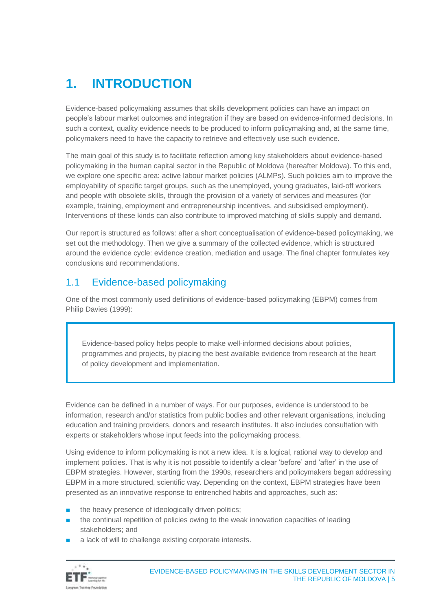# <span id="page-4-0"></span>**1. INTRODUCTION**

Evidence-based policymaking assumes that skills development policies can have an impact on people's labour market outcomes and integration if they are based on evidence-informed decisions. In such a context, quality evidence needs to be produced to inform policymaking and, at the same time, policymakers need to have the capacity to retrieve and effectively use such evidence.

The main goal of this study is to facilitate reflection among key stakeholders about evidence-based policymaking in the human capital sector in the Republic of Moldova (hereafter Moldova). To this end, we explore one specific area: active labour market policies (ALMPs). Such policies aim to improve the employability of specific target groups, such as the unemployed, young graduates, laid-off workers and people with obsolete skills, through the provision of a variety of services and measures (for example, training, employment and entrepreneurship incentives, and subsidised employment). Interventions of these kinds can also contribute to improved matching of skills supply and demand.

Our report is structured as follows: after a short conceptualisation of evidence-based policymaking, we set out the methodology. Then we give a summary of the collected evidence, which is structured around the evidence cycle: evidence creation, mediation and usage. The final chapter formulates key conclusions and recommendations.

### <span id="page-4-1"></span>1.1 Evidence-based policymaking

One of the most commonly used definitions of evidence-based policymaking (EBPM) comes from Philip Davies (1999):

Evidence-based policy helps people to make well-informed decisions about policies, programmes and projects, by placing the best available evidence from research at the heart of policy development and implementation.

Evidence can be defined in a number of ways. For our purposes, evidence is understood to be information, research and/or statistics from public bodies and other relevant organisations, including education and training providers, donors and research institutes. It also includes consultation with experts or stakeholders whose input feeds into the policymaking process.

Using evidence to inform policymaking is not a new idea. It is a logical, rational way to develop and implement policies. That is why it is not possible to identify a clear 'before' and 'after' in the use of EBPM strategies. However, starting from the 1990s, researchers and policymakers began addressing EBPM in a more structured, scientific way. Depending on the context, EBPM strategies have been presented as an innovative response to entrenched habits and approaches, such as:

- the heavy presence of ideologically driven politics:
- the continual repetition of policies owing to the weak innovation capacities of leading stakeholders; and
- a lack of will to challenge existing corporate interests.

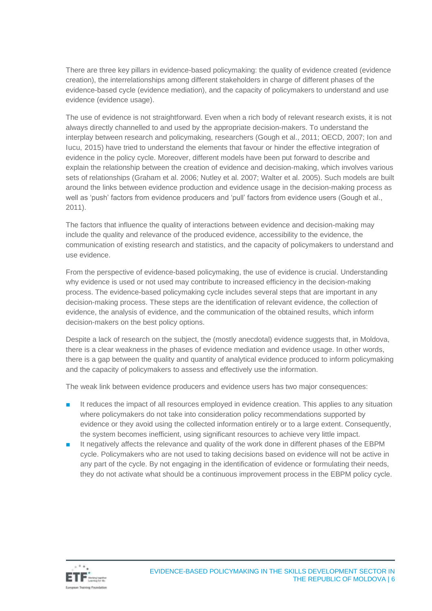There are three key pillars in evidence-based policymaking: the quality of evidence created (evidence creation), the interrelationships among different stakeholders in charge of different phases of the evidence-based cycle (evidence mediation), and the capacity of policymakers to understand and use evidence (evidence usage).

The use of evidence is not straightforward. Even when a rich body of relevant research exists, it is not always directly channelled to and used by the appropriate decision-makers. To understand the interplay between research and policymaking, researchers (Gough et al., 2011; OECD, 2007; Ion and Iucu, 2015) have tried to understand the elements that favour or hinder the effective integration of evidence in the policy cycle. Moreover, different models have been put forward to describe and explain the relationship between the creation of evidence and decision-making, which involves various sets of relationships (Graham et al. 2006; Nutley et al. 2007; Walter et al. 2005). Such models are built around the links between evidence production and evidence usage in the decision-making process as well as 'push' factors from evidence producers and 'pull' factors from evidence users (Gough et al., 2011).

The factors that influence the quality of interactions between evidence and decision-making may include the quality and relevance of the produced evidence, accessibility to the evidence, the communication of existing research and statistics, and the capacity of policymakers to understand and use evidence.

From the perspective of evidence-based policymaking, the use of evidence is crucial. Understanding why evidence is used or not used may contribute to increased efficiency in the decision-making process. The evidence-based policymaking cycle includes several steps that are important in any decision-making process. These steps are the identification of relevant evidence, the collection of evidence, the analysis of evidence, and the communication of the obtained results, which inform decision-makers on the best policy options.

Despite a lack of research on the subject, the (mostly anecdotal) evidence suggests that, in Moldova, there is a clear weakness in the phases of evidence mediation and evidence usage. In other words, there is a gap between the quality and quantity of analytical evidence produced to inform policymaking and the capacity of policymakers to assess and effectively use the information.

The weak link between evidence producers and evidence users has two major consequences:

- It reduces the impact of all resources employed in evidence creation. This applies to any situation where policymakers do not take into consideration policy recommendations supported by evidence or they avoid using the collected information entirely or to a large extent. Consequently, the system becomes inefficient, using significant resources to achieve very little impact.
- It negatively affects the relevance and quality of the work done in different phases of the EBPM cycle. Policymakers who are not used to taking decisions based on evidence will not be active in any part of the cycle. By not engaging in the identification of evidence or formulating their needs, they do not activate what should be a continuous improvement process in the EBPM policy cycle.

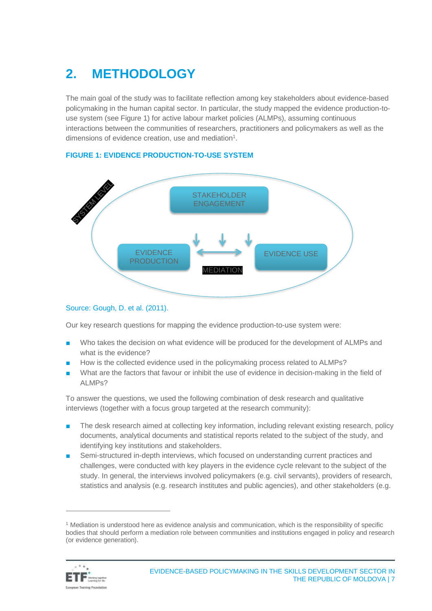# <span id="page-6-0"></span>**2. METHODOLOGY**

The main goal of the study was to facilitate reflection among key stakeholders about evidence-based policymaking in the human capital sector. In particular, the study mapped the evidence production-touse system (see Figure 1) for active labour market policies (ALMPs), assuming continuous interactions between the communities of researchers, practitioners and policymakers as well as the dimensions of evidence creation, use and mediation<sup>1</sup>.



#### **FIGURE 1: EVIDENCE PRODUCTION-TO-USE SYSTEM**

#### Source: Gough, D. et al. (2011).

Our key research questions for mapping the evidence production-to-use system were:

- Who takes the decision on what evidence will be produced for the development of ALMPs and what is the evidence?
- How is the collected evidence used in the policymaking process related to ALMPs?
- What are the factors that favour or inhibit the use of evidence in decision-making in the field of ALMPs?

To answer the questions, we used the following combination of desk research and qualitative interviews (together with a focus group targeted at the research community):

- The desk research aimed at collecting key information, including relevant existing research, policy documents, analytical documents and statistical reports related to the subject of the study, and identifying key institutions and stakeholders.
- Semi-structured in-depth interviews, which focused on understanding current practices and challenges, were conducted with key players in the evidence cycle relevant to the subject of the study. In general, the interviews involved policymakers (e.g. civil servants), providers of research, statistics and analysis (e.g. research institutes and public agencies), and other stakeholders (e.g.

 $1$  Mediation is understood here as evidence analysis and communication, which is the responsibility of specific bodies that should perform a mediation role between communities and institutions engaged in policy and research (or evidence generation).

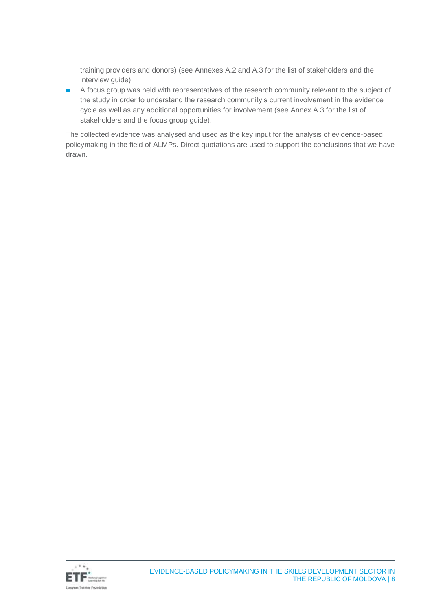training providers and donors) (see Annexes A.2 and A.3 for the list of stakeholders and the interview guide).

■ A focus group was held with representatives of the research community relevant to the subject of the study in order to understand the research community's current involvement in the evidence cycle as well as any additional opportunities for involvement (see Annex A.3 for the list of stakeholders and the focus group guide).

The collected evidence was analysed and used as the key input for the analysis of evidence-based policymaking in the field of ALMPs. Direct quotations are used to support the conclusions that we have drawn.

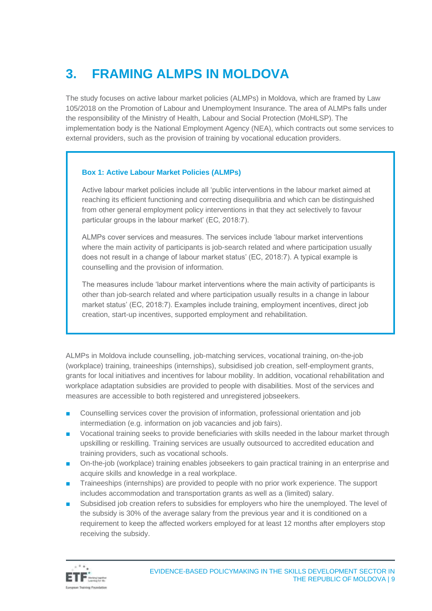# <span id="page-8-0"></span>**3. FRAMING ALMPS IN MOLDOVA**

The study focuses on active labour market policies (ALMPs) in Moldova, which are framed by Law 105/2018 on the Promotion of Labour and Unemployment Insurance. The area of ALMPs falls under the responsibility of the Ministry of Health, Labour and Social Protection (MoHLSP). The implementation body is the National Employment Agency (NEA), which contracts out some services to external providers, such as the provision of training by vocational education providers.

#### **Box 1: Active Labour Market Policies (ALMPs)**

Active labour market policies include all 'public interventions in the labour market aimed at reaching its efficient functioning and correcting disequilibria and which can be distinguished from other general employment policy interventions in that they act selectively to favour particular groups in the labour market' (EC, 2018:7).

ALMPs cover services and measures. The services include 'labour market interventions where the main activity of participants is job-search related and where participation usually does not result in a change of labour market status' (EC, 2018:7). A typical example is counselling and the provision of information.

The measures include 'labour market interventions where the main activity of participants is other than job-search related and where participation usually results in a change in labour market status' (EC, 2018:7). Examples include training, employment incentives, direct job creation, start-up incentives, supported employment and rehabilitation.

ALMPs in Moldova include counselling, job-matching services, vocational training, on-the-job (workplace) training, traineeships (internships), subsidised job creation, self-employment grants, grants for local initiatives and incentives for labour mobility. In addition, vocational rehabilitation and workplace adaptation subsidies are provided to people with disabilities. Most of the services and measures are accessible to both registered and unregistered jobseekers.

- Counselling services cover the provision of information, professional orientation and job intermediation (e.g. information on job vacancies and job fairs).
- Vocational training seeks to provide beneficiaries with skills needed in the labour market through upskilling or reskilling. Training services are usually outsourced to accredited education and training providers, such as vocational schools.
- On-the-job (workplace) training enables jobseekers to gain practical training in an enterprise and acquire skills and knowledge in a real workplace.
- Traineeships (internships) are provided to people with no prior work experience. The support includes accommodation and transportation grants as well as a (limited) salary.
- Subsidised job creation refers to subsidies for employers who hire the unemployed. The level of the subsidy is 30% of the average salary from the previous year and it is conditioned on a requirement to keep the affected workers employed for at least 12 months after employers stop receiving the subsidy.

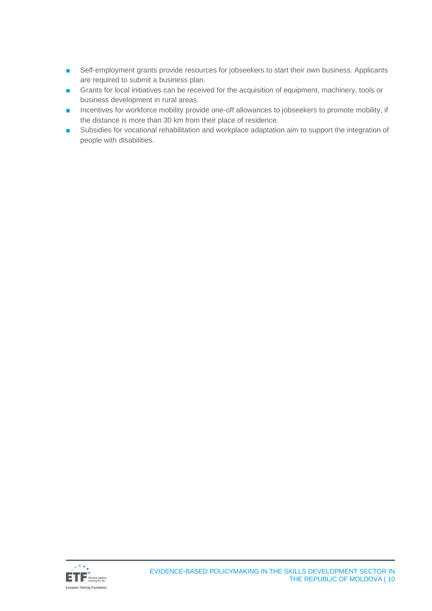- Self-employment grants provide resources for jobseekers to start their own business. Applicants are required to submit a business plan.
- Grants for local initiatives can be received for the acquisition of equipment, machinery, tools or business development in rural areas.
- Incentives for workforce mobility provide one-off allowances to jobseekers to promote mobility, if the distance is more than 30 km from their place of residence.
- Subsidies for vocational rehabilitation and workplace adaptation aim to support the integration of people with disabilities.

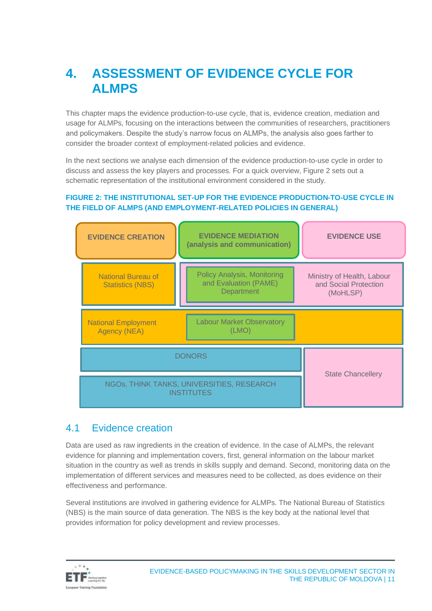# <span id="page-10-0"></span>**4. ASSESSMENT OF EVIDENCE CYCLE FOR ALMPS**

This chapter maps the evidence production-to-use cycle, that is, evidence creation, mediation and usage for ALMPs, focusing on the interactions between the communities of researchers, practitioners and policymakers. Despite the study's narrow focus on ALMPs, the analysis also goes farther to consider the broader context of employment-related policies and evidence.

In the next sections we analyse each dimension of the evidence production-to-use cycle in order to discuss and assess the key players and processes. For a quick overview, Figure 2 sets out a schematic representation of the institutional environment considered in the study.

#### **FIGURE 2: THE INSTITUTIONAL SET-UP FOR THE EVIDENCE PRODUCTION-TO-USE CYCLE IN THE FIELD OF ALMPS (AND EMPLOYMENT-RELATED POLICIES IN GENERAL)**



### <span id="page-10-1"></span>4.1 Evidence creation

Data are used as raw ingredients in the creation of evidence. In the case of ALMPs, the relevant evidence for planning and implementation covers, first, general information on the labour market situation in the country as well as trends in skills supply and demand. Second, monitoring data on the implementation of different services and measures need to be collected, as does evidence on their effectiveness and performance.

Several institutions are involved in gathering evidence for ALMPs. The National Bureau of Statistics (NBS) is the main source of data generation. The NBS is the key body at the national level that provides information for policy development and review processes.

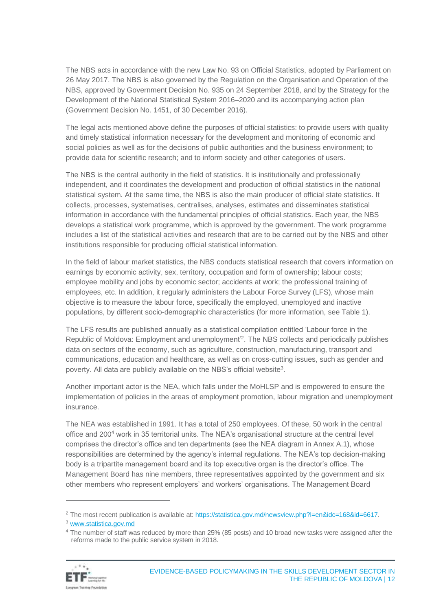The NBS acts in accordance with the new Law No. 93 on Official Statistics, adopted by Parliament on 26 May 2017. The NBS is also governed by the Regulation on the Organisation and Operation of the NBS, approved by Government Decision No. 935 on 24 September 2018, and by the Strategy for the Development of the National Statistical System 2016–2020 and its accompanying action plan (Government Decision No. 1451, of 30 December 2016).

The legal acts mentioned above define the purposes of official statistics: to provide users with quality and timely statistical information necessary for the development and monitoring of economic and social policies as well as for the decisions of public authorities and the business environment; to provide data for scientific research; and to inform society and other categories of users.

The NBS is the central authority in the field of statistics. It is institutionally and professionally independent, and it coordinates the development and production of official statistics in the national statistical system. At the same time, the NBS is also the main producer of official state statistics. It collects, processes, systematises, centralises, analyses, estimates and disseminates statistical information in accordance with the fundamental principles of official statistics. Each year, the NBS develops a statistical work programme, which is approved by the government. The work programme includes a list of the statistical activities and research that are to be carried out by the NBS and other institutions responsible for producing official statistical information.

In the field of labour market statistics, the NBS conducts statistical research that covers information on earnings by economic activity, sex, territory, occupation and form of ownership; labour costs; employee mobility and jobs by economic sector; accidents at work; the professional training of employees, etc. In addition, it regularly administers the Labour Force Survey (LFS), whose main objective is to measure the labour force, specifically the employed, unemployed and inactive populations, by different socio-demographic characteristics (for more information, see Table 1).

The LFS results are published annually as a statistical compilation entitled 'Labour force in the Republic of Moldova: Employment and unemployment<sup>2</sup>. The NBS collects and periodically publishes data on sectors of the economy, such as agriculture, construction, manufacturing, transport and communications, education and healthcare, as well as on cross-cutting issues, such as gender and poverty. All data are publicly available on the NBS's official website<sup>3</sup>.

Another important actor is the NEA, which falls under the MoHLSP and is empowered to ensure the implementation of policies in the areas of employment promotion, labour migration and unemployment insurance.

The NEA was established in 1991. It has a total of 250 employees. Of these, 50 work in the central office and 200<sup>4</sup> work in 35 territorial units. The NEA's organisational structure at the central level comprises the director's office and ten departments (see the NEA diagram in Annex A.1), whose responsibilities are determined by the agency's internal regulations. The NEA's top decision-making body is a tripartite management board and its top executive organ is the director's office. The Management Board has nine members, three representatives appointed by the government and six other members who represent employers' and workers' organisations. The Management Board

<sup>4</sup> The number of staff was reduced by more than 25% (85 posts) and 10 broad new tasks were assigned after the reforms made to the public service system in 2018.



<sup>2</sup> The most recent publication is available at: [https://statistica.gov.md/newsview.php?l=en&idc=168&id=6617.](https://statistica.gov.md/newsview.php?l=en&idc=168&id=6617)

<sup>3</sup> [www.statistica.gov.md](http://www.statistica.gov.md/)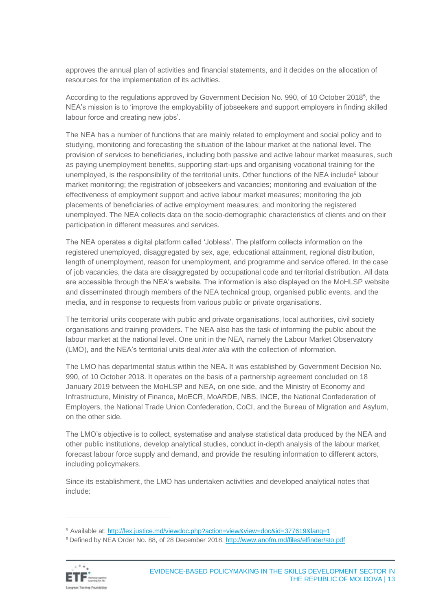approves the annual plan of activities and financial statements, and it decides on the allocation of resources for the implementation of its activities.

According to the regulations approved by Government Decision No. 990, of 10 October 2018<sup>5</sup>, the NEA's mission is to 'improve the employability of jobseekers and support employers in finding skilled labour force and creating new jobs'.

The NEA has a number of functions that are mainly related to employment and social policy and to studying, monitoring and forecasting the situation of the labour market at the national level. The provision of services to beneficiaries, including both passive and active labour market measures, such as paying unemployment benefits, supporting start-ups and organising vocational training for the unemployed, is the responsibility of the territorial units. Other functions of the NEA include<sup>6</sup> labour market monitoring; the registration of jobseekers and vacancies; monitoring and evaluation of the effectiveness of employment support and active labour market measures; monitoring the job placements of beneficiaries of active employment measures; and monitoring the registered unemployed. The NEA collects data on the socio-demographic characteristics of clients and on their participation in different measures and services.

The NEA operates a digital platform called 'Jobless'. The platform collects information on the registered unemployed, disaggregated by sex, age, educational attainment, regional distribution, length of unemployment, reason for unemployment, and programme and service offered. In the case of job vacancies, the data are disaggregated by occupational code and territorial distribution. All data are accessible through the NEA's website. The information is also displayed on the MoHLSP website and disseminated through members of the NEA technical group, organised public events, and the media, and in response to requests from various public or private organisations.

The territorial units cooperate with public and private organisations, local authorities, civil society organisations and training providers. The NEA also has the task of informing the public about the labour market at the national level. One unit in the NEA, namely the Labour Market Observatory (LMO), and the NEA's territorial units deal *inter alia* with the collection of information.

The LMO has departmental status within the NEA**.** It was established by Government Decision No. 990, of 10 October 2018. It operates on the basis of a partnership agreement concluded on 18 January 2019 between the MoHLSP and NEA, on one side, and the Ministry of Economy and Infrastructure, Ministry of Finance, MoECR, MoARDE, NBS, INCE, the National Confederation of Employers, the National Trade Union Confederation, CoCI, and the Bureau of Migration and Asylum, on the other side.

The LMO's objective is to collect, systematise and analyse statistical data produced by the NEA and other public institutions, develop analytical studies, conduct in-depth analysis of the labour market, forecast labour force supply and demand, and provide the resulting information to different actors, including policymakers.

Since its establishment, the LMO has undertaken activities and developed analytical notes that include:

<sup>6</sup> Defined by NEA Order No. 88, of 28 December 2018:<http://www.anofm.md/files/elfinder/sto.pdf>



<sup>5</sup> Available at:<http://lex.justice.md/viewdoc.php?action=view&view=doc&id=377619&lang=1>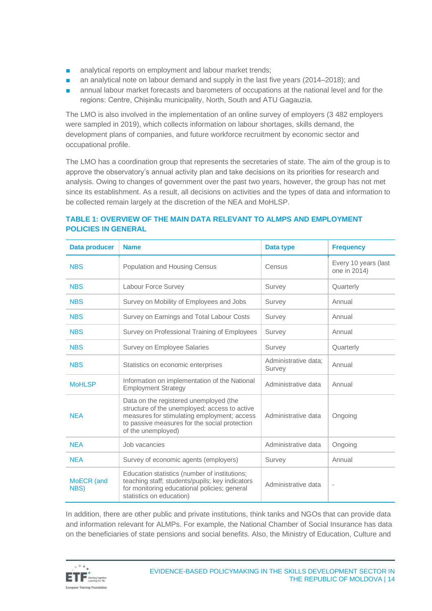- analytical reports on employment and labour market trends;
- an analytical note on labour demand and supply in the last five years (2014–2018); and
- annual labour market forecasts and barometers of occupations at the national level and for the regions: Centre, Chișinău municipality, North, South and ATU Gagauzia.

The LMO is also involved in the implementation of an online survey of employers (3 482 employers were sampled in 2019), which collects information on labour shortages, skills demand, the development plans of companies, and future workforce recruitment by economic sector and occupational profile.

The LMO has a coordination group that represents the secretaries of state. The aim of the group is to approve the observatory's annual activity plan and take decisions on its priorities for research and analysis. Owing to changes of government over the past two years, however, the group has not met since its establishment. As a result, all decisions on activities and the types of data and information to be collected remain largely at the discretion of the NEA and MoHLSP.

| <b>Data producer</b> | <b>Name</b>                                                                                                                                                                                                   | Data type                      | <b>Frequency</b>                     |
|----------------------|---------------------------------------------------------------------------------------------------------------------------------------------------------------------------------------------------------------|--------------------------------|--------------------------------------|
| <b>NBS</b>           | <b>Population and Housing Census</b>                                                                                                                                                                          | Census                         | Every 10 years (last<br>one in 2014) |
| <b>NBS</b>           | Labour Force Survey                                                                                                                                                                                           | Survey                         | Quarterly                            |
| <b>NBS</b>           | Survey on Mobility of Employees and Jobs                                                                                                                                                                      | Survey                         | Annual                               |
| <b>NBS</b>           | Survey on Earnings and Total Labour Costs                                                                                                                                                                     | Survey                         | Annual                               |
| <b>NBS</b>           | Survey on Professional Training of Employees                                                                                                                                                                  | Survey                         | Annual                               |
| <b>NBS</b>           | Survey on Employee Salaries                                                                                                                                                                                   | Survey                         | Quarterly                            |
| <b>NBS</b>           | Statistics on economic enterprises                                                                                                                                                                            | Administrative data:<br>Survey | Annual                               |
| <b>MoHLSP</b>        | Information on implementation of the National<br><b>Employment Strategy</b>                                                                                                                                   | Administrative data            | Annual                               |
| <b>NEA</b>           | Data on the registered unemployed (the<br>structure of the unemployed; access to active<br>measures for stimulating employment; access<br>to passive measures for the social protection<br>of the unemployed) | Administrative data            | Ongoing                              |
| <b>NFA</b>           | Job vacancies                                                                                                                                                                                                 | Administrative data            | Ongoing                              |
| <b>NEA</b>           | Survey of economic agents (employers)                                                                                                                                                                         | Survey                         | Annual                               |
| MoECR (and<br>NBS)   | Education statistics (number of institutions;<br>teaching staff; students/pupils; key indicators<br>for monitoring educational policies; general<br>statistics on education)                                  | Administrative data            | $\overline{\phantom{a}}$             |

#### **TABLE 1: OVERVIEW OF THE MAIN DATA RELEVANT TO ALMPS AND EMPLOYMENT POLICIES IN GENERAL**

In addition, there are other public and private institutions, think tanks and NGOs that can provide data and information relevant for ALMPs. For example, the National Chamber of Social Insurance has data on the beneficiaries of state pensions and social benefits. Also, the Ministry of Education, Culture and

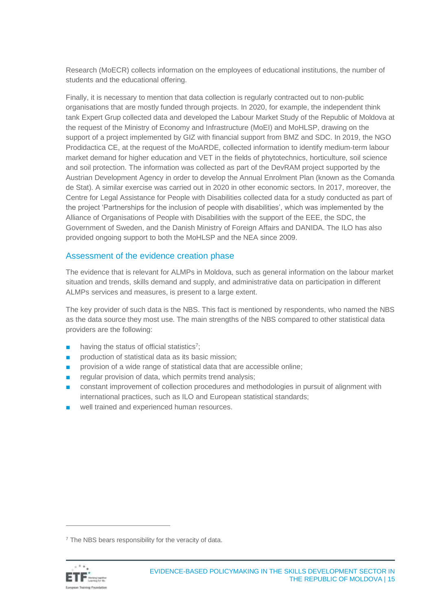Research (MoECR) collects information on the employees of educational institutions, the number of students and the educational offering.

Finally, it is necessary to mention that data collection is regularly contracted out to non-public organisations that are mostly funded through projects. In 2020, for example, the independent think tank Expert Grup collected data and developed the Labour Market Study of the Republic of Moldova at the request of the Ministry of Economy and Infrastructure (MoEI) and MoHLSP, drawing on the support of a project implemented by GIZ with financial support from BMZ and SDC. In 2019, the NGO Prodidactica CE, at the request of the MoARDE, collected information to identify medium-term labour market demand for higher education and VET in the fields of phytotechnics, horticulture, soil science and soil protection. The information was collected as part of the DevRAM project supported by the Austrian Development Agency in order to develop the Annual Enrolment Plan (known as the Comanda de Stat). A similar exercise was carried out in 2020 in other economic sectors. In 2017, moreover, the Centre for Legal Assistance for People with Disabilities collected data for a study conducted as part of the project 'Partnerships for the inclusion of people with disabilities', which was implemented by the Alliance of Organisations of People with Disabilities with the support of the EEE, the SDC, the Government of Sweden, and the Danish Ministry of Foreign Affairs and DANIDA. The ILO has also provided ongoing support to both the MoHLSP and the NEA since 2009.

#### Assessment of the evidence creation phase

The evidence that is relevant for ALMPs in Moldova, such as general information on the labour market situation and trends, skills demand and supply, and administrative data on participation in different ALMPs services and measures, is present to a large extent.

The key provider of such data is the NBS. This fact is mentioned by respondents, who named the NBS as the data source they most use. The main strengths of the NBS compared to other statistical data providers are the following:

- having the status of official statistics<sup>7</sup>;
- production of statistical data as its basic mission;
- provision of a wide range of statistical data that are accessible online;
- regular provision of data, which permits trend analysis;
- constant improvement of collection procedures and methodologies in pursuit of alignment with international practices, such as ILO and European statistical standards;
- well trained and experienced human resources.

 $7$  The NBS bears responsibility for the veracity of data.

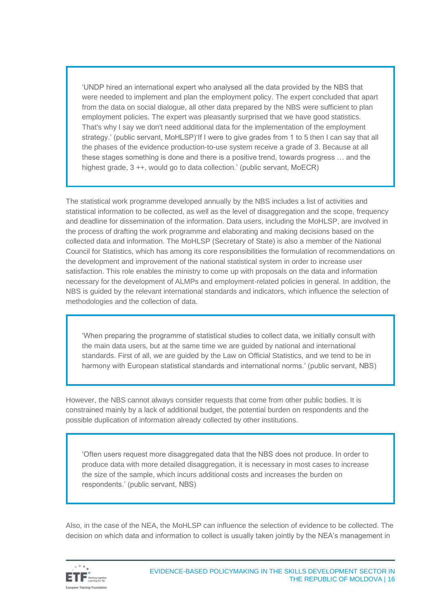'UNDP hired an international expert who analysed all the data provided by the NBS that were needed to implement and plan the employment policy. The expert concluded that apart from the data on social dialogue, all other data prepared by the NBS were sufficient to plan employment policies. The expert was pleasantly surprised that we have good statistics. That's why I say we don't need additional data for the implementation of the employment strategy.' (public servant, MoHLSP)'If I were to give grades from 1 to 5 then I can say that all the phases of the evidence production-to-use system receive a grade of 3. Because at all these stages something is done and there is a positive trend, towards progress … and the highest grade, 3 ++, would go to data collection.' (public servant, MoECR)

The statistical work programme developed annually by the NBS includes a list of activities and statistical information to be collected, as well as the level of disaggregation and the scope, frequency and deadline for dissemination of the information. Data users, including the MoHLSP, are involved in the process of drafting the work programme and elaborating and making decisions based on the collected data and information. The MoHLSP (Secretary of State) is also a member of the National Council for Statistics, which has among its core responsibilities the formulation of recommendations on the development and improvement of the national statistical system in order to increase user satisfaction. This role enables the ministry to come up with proposals on the data and information necessary for the development of ALMPs and employment-related policies in general. In addition, the NBS is guided by the relevant international standards and indicators, which influence the selection of methodologies and the collection of data.

'When preparing the programme of statistical studies to collect data, we initially consult with the main data users, but at the same time we are guided by national and international standards. First of all, we are guided by the Law on Official Statistics, and we tend to be in harmony with European statistical standards and international norms.' (public servant, NBS)

However, the NBS cannot always consider requests that come from other public bodies. It is constrained mainly by a lack of additional budget, the potential burden on respondents and the possible duplication of information already collected by other institutions.

'Often users request more disaggregated data that the NBS does not produce. In order to produce data with more detailed disaggregation, it is necessary in most cases to increase the size of the sample, which incurs additional costs and increases the burden on respondents.' (public servant, NBS)

Also, in the case of the NEA, the MoHLSP can influence the selection of evidence to be collected. The decision on which data and information to collect is usually taken jointly by the NEA's management in

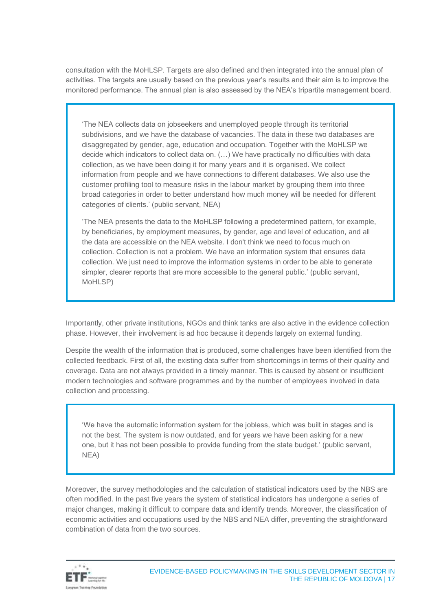consultation with the MoHLSP. Targets are also defined and then integrated into the annual plan of activities. The targets are usually based on the previous year's results and their aim is to improve the monitored performance. The annual plan is also assessed by the NEA's tripartite management board.

'The NEA collects data on jobseekers and unemployed people through its territorial subdivisions, and we have the database of vacancies. The data in these two databases are disaggregated by gender, age, education and occupation. Together with the MoHLSP we decide which indicators to collect data on. (…) We have practically no difficulties with data collection, as we have been doing it for many years and it is organised. We collect information from people and we have connections to different databases. We also use the customer profiling tool to measure risks in the labour market by grouping them into three broad categories in order to better understand how much money will be needed for different categories of clients.' (public servant, NEA)

'The NEA presents the data to the MoHLSP following a predetermined pattern, for example, by beneficiaries, by employment measures, by gender, age and level of education, and all the data are accessible on the NEA website. I don't think we need to focus much on collection. Collection is not a problem. We have an information system that ensures data collection. We just need to improve the information systems in order to be able to generate simpler, clearer reports that are more accessible to the general public.' (public servant, MoHLSP)

Importantly, other private institutions, NGOs and think tanks are also active in the evidence collection phase. However, their involvement is ad hoc because it depends largely on external funding.

Despite the wealth of the information that is produced, some challenges have been identified from the collected feedback. First of all, the existing data suffer from shortcomings in terms of their quality and coverage. Data are not always provided in a timely manner. This is caused by absent or insufficient modern technologies and software programmes and by the number of employees involved in data collection and processing.

'We have the automatic information system for the jobless, which was built in stages and is not the best. The system is now outdated, and for years we have been asking for a new one, but it has not been possible to provide funding from the state budget.' (public servant, NEA)

Moreover, the survey methodologies and the calculation of statistical indicators used by the NBS are often modified. In the past five years the system of statistical indicators has undergone a series of major changes, making it difficult to compare data and identify trends. Moreover, the classification of economic activities and occupations used by the NBS and NEA differ, preventing the straightforward combination of data from the two sources.

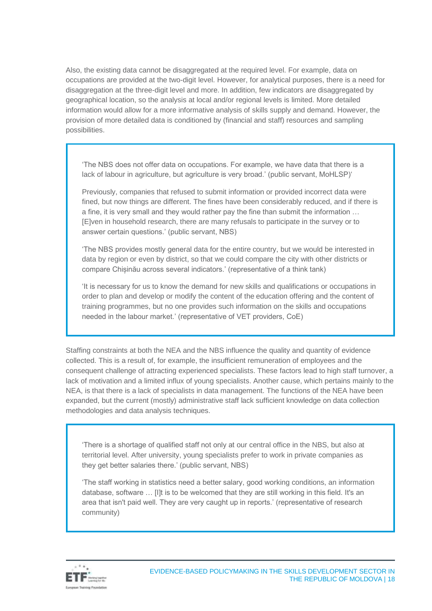Also, the existing data cannot be disaggregated at the required level. For example, data on occupations are provided at the two-digit level. However, for analytical purposes, there is a need for disaggregation at the three-digit level and more. In addition, few indicators are disaggregated by geographical location, so the analysis at local and/or regional levels is limited. More detailed information would allow for a more informative analysis of skills supply and demand. However, the provision of more detailed data is conditioned by (financial and staff) resources and sampling possibilities.

'The NBS does not offer data on occupations. For example, we have data that there is a lack of labour in agriculture, but agriculture is very broad.' (public servant, MoHLSP)'

Previously, companies that refused to submit information or provided incorrect data were fined, but now things are different. The fines have been considerably reduced, and if there is a fine, it is very small and they would rather pay the fine than submit the information … [E]ven in household research, there are many refusals to participate in the survey or to answer certain questions.' (public servant, NBS)

'The NBS provides mostly general data for the entire country, but we would be interested in data by region or even by district, so that we could compare the city with other districts or compare Chișinău across several indicators.' (representative of a think tank)

'It is necessary for us to know the demand for new skills and qualifications or occupations in order to plan and develop or modify the content of the education offering and the content of training programmes, but no one provides such information on the skills and occupations needed in the labour market.' (representative of VET providers, CoE)

Staffing constraints at both the NEA and the NBS influence the quality and quantity of evidence collected. This is a result of, for example, the insufficient remuneration of employees and the consequent challenge of attracting experienced specialists. These factors lead to high staff turnover, a lack of motivation and a limited influx of young specialists. Another cause, which pertains mainly to the NEA, is that there is a lack of specialists in data management. The functions of the NEA have been expanded, but the current (mostly) administrative staff lack sufficient knowledge on data collection methodologies and data analysis techniques.

'There is a shortage of qualified staff not only at our central office in the NBS, but also at territorial level. After university, young specialists prefer to work in private companies as they get better salaries there.' (public servant, NBS)

'The staff working in statistics need a better salary, good working conditions, an information database, software … [I]t is to be welcomed that they are still working in this field. It's an area that isn't paid well. They are very caught up in reports.' (representative of research community)

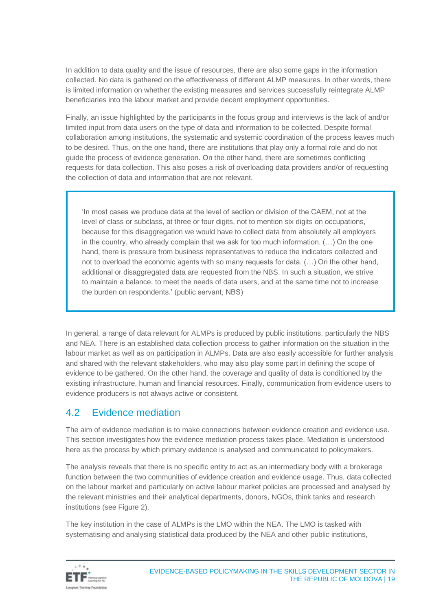In addition to data quality and the issue of resources, there are also some gaps in the information collected. No data is gathered on the effectiveness of different ALMP measures. In other words, there is limited information on whether the existing measures and services successfully reintegrate ALMP beneficiaries into the labour market and provide decent employment opportunities.

Finally, an issue highlighted by the participants in the focus group and interviews is the lack of and/or limited input from data users on the type of data and information to be collected. Despite formal collaboration among institutions, the systematic and systemic coordination of the process leaves much to be desired. Thus, on the one hand, there are institutions that play only a formal role and do not guide the process of evidence generation. On the other hand, there are sometimes conflicting requests for data collection. This also poses a risk of overloading data providers and/or of requesting the collection of data and information that are not relevant.

'In most cases we produce data at the level of section or division of the CAEM, not at the level of class or subclass, at three or four digits, not to mention six digits on occupations, because for this disaggregation we would have to collect data from absolutely all employers in the country, who already complain that we ask for too much information. (…) On the one hand, there is pressure from business representatives to reduce the indicators collected and not to overload the economic agents with so many requests for data. (…) On the other hand, additional or disaggregated data are requested from the NBS. In such a situation, we strive to maintain a balance, to meet the needs of data users, and at the same time not to increase the burden on respondents.' (public servant, NBS)

In general, a range of data relevant for ALMPs is produced by public institutions, particularly the NBS and NEA. There is an established data collection process to gather information on the situation in the labour market as well as on participation in ALMPs. Data are also easily accessible for further analysis and shared with the relevant stakeholders, who may also play some part in defining the scope of evidence to be gathered. On the other hand, the coverage and quality of data is conditioned by the existing infrastructure, human and financial resources. Finally, communication from evidence users to evidence producers is not always active or consistent.

### <span id="page-18-0"></span>4.2 Evidence mediation

The aim of evidence mediation is to make connections between evidence creation and evidence use. This section investigates how the evidence mediation process takes place. Mediation is understood here as the process by which primary evidence is analysed and communicated to policymakers.

The analysis reveals that there is no specific entity to act as an intermediary body with a brokerage function between the two communities of evidence creation and evidence usage. Thus, data collected on the labour market and particularly on active labour market policies are processed and analysed by the relevant ministries and their analytical departments, donors, NGOs, think tanks and research institutions (see Figure 2).

The key institution in the case of ALMPs is the LMO within the NEA. The LMO is tasked with systematising and analysing statistical data produced by the NEA and other public institutions,

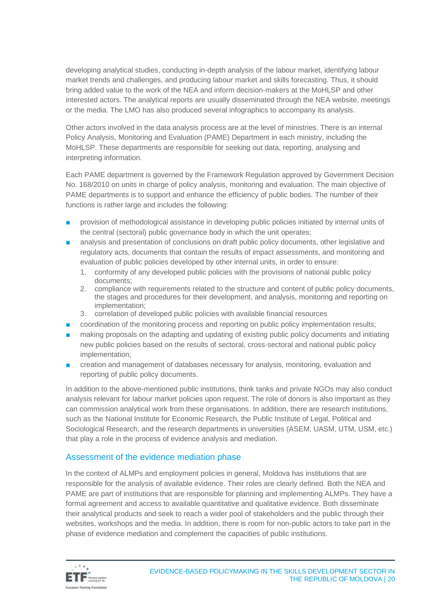developing analytical studies, conducting in-depth analysis of the labour market, identifying labour market trends and challenges, and producing labour market and skills forecasting. Thus, it should bring added value to the work of the NEA and inform decision-makers at the MoHLSP and other interested actors. The analytical reports are usually disseminated through the NEA website, meetings or the media. The LMO has also produced several infographics to accompany its analysis.

Other actors involved in the data analysis process are at the level of ministries. There is an internal Policy Analysis, Monitoring and Evaluation (PAME) Department in each ministry, including the MoHLSP. These departments are responsible for seeking out data, reporting, analysing and interpreting information.

Each PAME department is governed by the Framework Regulation approved by Government Decision No. 168/2010 on units in charge of policy analysis, monitoring and evaluation. The main objective of PAME departments is to support and enhance the efficiency of public bodies. The number of their functions is rather large and includes the following:

- provision of methodological assistance in developing public policies initiated by internal units of the central (sectoral) public governance body in which the unit operates;
- analysis and presentation of conclusions on draft public policy documents, other legislative and regulatory acts, documents that contain the results of impact assessments, and monitoring and evaluation of public policies developed by other internal units, in order to ensure:
	- 1. conformity of any developed public policies with the provisions of national public policy documents;
	- 2. compliance with requirements related to the structure and content of public policy documents, the stages and procedures for their development, and analysis, monitoring and reporting on implementation;
	- 3. correlation of developed public policies with available financial resources
- coordination of the monitoring process and reporting on public policy implementation results;
- making proposals on the adapting and updating of existing public policy documents and initiating new public policies based on the results of sectoral, cross-sectoral and national public policy implementation;
- creation and management of databases necessary for analysis, monitoring, evaluation and reporting of public policy documents.

In addition to the above-mentioned public institutions, think tanks and private NGOs may also conduct analysis relevant for labour market policies upon request. The role of donors is also important as they can commission analytical work from these organisations. In addition, there are research institutions, such as the National Institute for Economic Research, the Public Institute of Legal, Political and Sociological Research, and the research departments in universities (ASEM, UASM, UTM, USM, etc.) that play a role in the process of evidence analysis and mediation.

#### Assessment of the evidence mediation phase

In the context of ALMPs and employment policies in general, Moldova has institutions that are responsible for the analysis of available evidence. Their roles are clearly defined. Both the NEA and PAME are part of institutions that are responsible for planning and implementing ALMPs. They have a formal agreement and access to available quantitative and qualitative evidence. Both disseminate their analytical products and seek to reach a wider pool of stakeholders and the public through their websites, workshops and the media. In addition, there is room for non-public actors to take part in the phase of evidence mediation and complement the capacities of public institutions.

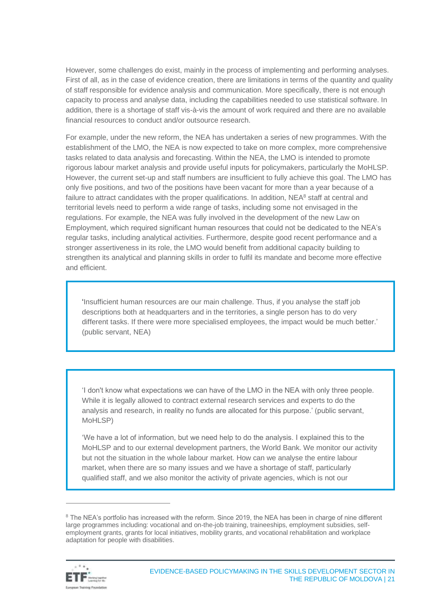However, some challenges do exist, mainly in the process of implementing and performing analyses. First of all, as in the case of evidence creation, there are limitations in terms of the quantity and quality of staff responsible for evidence analysis and communication. More specifically, there is not enough capacity to process and analyse data, including the capabilities needed to use statistical software. In addition, there is a shortage of staff vis-à-vis the amount of work required and there are no available financial resources to conduct and/or outsource research.

For example, under the new reform, the NEA has undertaken a series of new programmes. With the establishment of the LMO, the NEA is now expected to take on more complex, more comprehensive tasks related to data analysis and forecasting. Within the NEA, the LMO is intended to promote rigorous labour market analysis and provide useful inputs for policymakers, particularly the MoHLSP. However, the current set-up and staff numbers are insufficient to fully achieve this goal. The LMO has only five positions, and two of the positions have been vacant for more than a year because of a failure to attract candidates with the proper qualifications. In addition,  $NEA<sup>8</sup>$  staff at central and territorial levels need to perform a wide range of tasks, including some not envisaged in the regulations. For example, the NEA was fully involved in the development of the new Law on Employment, which required significant human resources that could not be dedicated to the NEA's regular tasks, including analytical activities. Furthermore, despite good recent performance and a stronger assertiveness in its role, the LMO would benefit from additional capacity building to strengthen its analytical and planning skills in order to fulfil its mandate and become more effective and efficient.

'Insufficient human resources are our main challenge. Thus, if you analyse the staff job descriptions both at headquarters and in the territories, a single person has to do very different tasks. If there were more specialised employees, the impact would be much better.' (public servant, NEA)

'I don't know what expectations we can have of the LMO in the NEA with only three people. While it is legally allowed to contract external research services and experts to do the analysis and research, in reality no funds are allocated for this purpose.' (public servant, MoHLSP)

'We have a lot of information, but we need help to do the analysis. I explained this to the MoHLSP and to our external development partners, the World Bank. We monitor our activity but not the situation in the whole labour market. How can we analyse the entire labour market, when there are so many issues and we have a shortage of staff, particularly qualified staff, and we also monitor the activity of private agencies, which is not our

<sup>&</sup>lt;sup>8</sup> The NEA's portfolio has increased with the reform. Since 2019, the NEA has been in charge of nine different large programmes including: vocational and on-the-job training, traineeships, employment subsidies, selfemployment grants, grants for local initiatives, mobility grants, and vocational rehabilitation and workplace adaptation for people with disabilities.

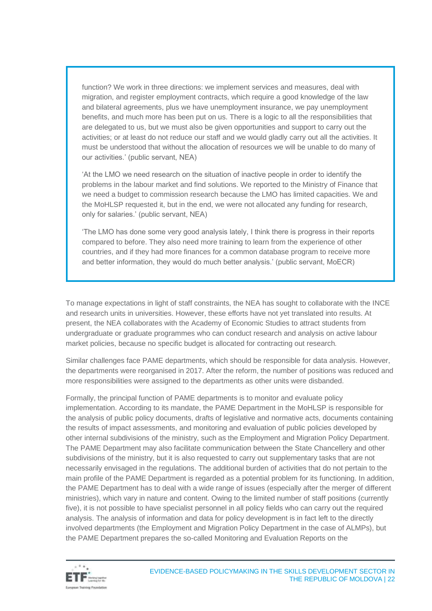function? We work in three directions: we implement services and measures, deal with migration, and register employment contracts, which require a good knowledge of the law and bilateral agreements, plus we have unemployment insurance, we pay unemployment benefits, and much more has been put on us. There is a logic to all the responsibilities that are delegated to us, but we must also be given opportunities and support to carry out the activities; or at least do not reduce our staff and we would gladly carry out all the activities. It must be understood that without the allocation of resources we will be unable to do many of our activities.' (public servant, NEA)

'At the LMO we need research on the situation of inactive people in order to identify the problems in the labour market and find solutions. We reported to the Ministry of Finance that we need a budget to commission research because the LMO has limited capacities. We and the MoHLSP requested it, but in the end, we were not allocated any funding for research, only for salaries.' (public servant, NEA)

'The LMO has done some very good analysis lately, I think there is progress in their reports compared to before. They also need more training to learn from the experience of other countries, and if they had more finances for a common database program to receive more and better information, they would do much better analysis.' (public servant, MoECR)

To manage expectations in light of staff constraints, the NEA has sought to collaborate with the INCE and research units in universities. However, these efforts have not yet translated into results. At present, the NEA collaborates with the Academy of Economic Studies to attract students from undergraduate or graduate programmes who can conduct research and analysis on active labour market policies, because no specific budget is allocated for contracting out research.

Similar challenges face PAME departments, which should be responsible for data analysis. However, the departments were reorganised in 2017. After the reform, the number of positions was reduced and more responsibilities were assigned to the departments as other units were disbanded.

Formally, the principal function of PAME departments is to monitor and evaluate policy implementation. According to its mandate, the PAME Department in the MoHLSP is responsible for the analysis of public policy documents, drafts of legislative and normative acts, documents containing the results of impact assessments, and monitoring and evaluation of public policies developed by other internal subdivisions of the ministry, such as the Employment and Migration Policy Department. The PAME Department may also facilitate communication between the State Chancellery and other subdivisions of the ministry, but it is also requested to carry out supplementary tasks that are not necessarily envisaged in the regulations. The additional burden of activities that do not pertain to the main profile of the PAME Department is regarded as a potential problem for its functioning. In addition, the PAME Department has to deal with a wide range of issues (especially after the merger of different ministries), which vary in nature and content. Owing to the limited number of staff positions (currently five), it is not possible to have specialist personnel in all policy fields who can carry out the required analysis. The analysis of information and data for policy development is in fact left to the directly involved departments (the Employment and Migration Policy Department in the case of ALMPs), but the PAME Department prepares the so-called Monitoring and Evaluation Reports on the

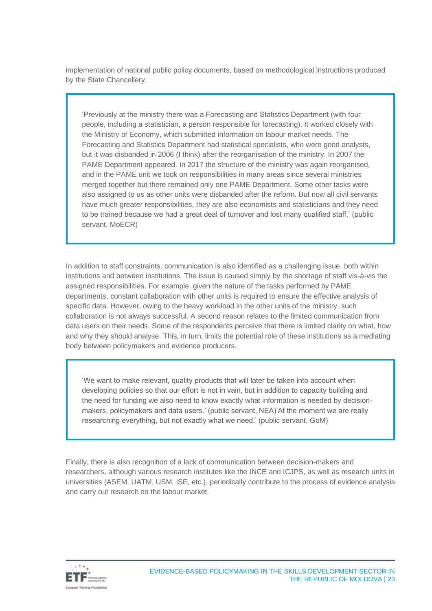implementation of national public policy documents, based on methodological instructions produced by the State Chancellery.

'Previously at the ministry there was a Forecasting and Statistics Department (with four people, including a statistician, a person responsible for forecasting). It worked closely with the Ministry of Economy, which submitted information on labour market needs. The Forecasting and Statistics Department had statistical specialists, who were good analysts, but it was disbanded in 2006 (I think) after the reorganisation of the ministry. In 2007 the PAME Department appeared. In 2017 the structure of the ministry was again reorganised, and in the PAME unit we took on responsibilities in many areas since several ministries merged together but there remained only one PAME Department. Some other tasks were also assigned to us as other units were disbanded after the reform. But now all civil servants have much greater responsibilities, they are also economists and statisticians and they need to be trained because we had a great deal of turnover and lost many qualified staff.' (public servant, MoECR)

In addition to staff constraints, communication is also identified as a challenging issue, both within institutions and between institutions. The issue is caused simply by the shortage of staff vis-à-vis the assigned responsibilities. For example, given the nature of the tasks performed by PAME departments, constant collaboration with other units is required to ensure the effective analysis of specific data. However, owing to the heavy workload in the other units of the ministry, such collaboration is not always successful. A second reason relates to the limited communication from data users on their needs. Some of the respondents perceive that there is limited clarity on what, how and why they should analyse. This, in turn, limits the potential role of these institutions as a mediating body between policymakers and evidence producers.

'We want to make relevant, quality products that will later be taken into account when developing policies so that our effort is not in vain, but in addition to capacity building and the need for funding we also need to know exactly what information is needed by decisionmakers, policymakers and data users.' (public servant, NEA)'At the moment we are really researching everything, but not exactly what we need.' (public servant, GoM)

Finally, there is also recognition of a lack of communication between decision-makers and researchers, although various research institutes like the INCE and ICJPS, as well as research units in universities (ASEM, UATM, USM, ISE, etc.), periodically contribute to the process of evidence analysis and carry out research on the labour market.

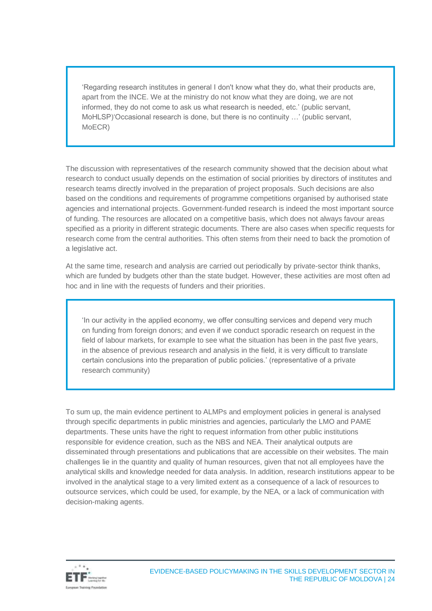'Regarding research institutes in general I don't know what they do, what their products are, apart from the INCE. We at the ministry do not know what they are doing, we are not informed, they do not come to ask us what research is needed, etc.' (public servant, MoHLSP)'Occasional research is done, but there is no continuity …' (public servant, MoECR)

The discussion with representatives of the research community showed that the decision about what research to conduct usually depends on the estimation of social priorities by directors of institutes and research teams directly involved in the preparation of project proposals. Such decisions are also based on the conditions and requirements of programme competitions organised by authorised state agencies and international projects. Government-funded research is indeed the most important source of funding. The resources are allocated on a competitive basis, which does not always favour areas specified as a priority in different strategic documents. There are also cases when specific requests for research come from the central authorities. This often stems from their need to back the promotion of a legislative act.

At the same time, research and analysis are carried out periodically by private-sector think thanks, which are funded by budgets other than the state budget. However, these activities are most often ad hoc and in line with the requests of funders and their priorities.

'In our activity in the applied economy, we offer consulting services and depend very much on funding from foreign donors; and even if we conduct sporadic research on request in the field of labour markets, for example to see what the situation has been in the past five years, in the absence of previous research and analysis in the field, it is very difficult to translate certain conclusions into the preparation of public policies.' (representative of a private research community)

To sum up, the main evidence pertinent to ALMPs and employment policies in general is analysed through specific departments in public ministries and agencies, particularly the LMO and PAME departments. These units have the right to request information from other public institutions responsible for evidence creation, such as the NBS and NEA. Their analytical outputs are disseminated through presentations and publications that are accessible on their websites. The main challenges lie in the quantity and quality of human resources, given that not all employees have the analytical skills and knowledge needed for data analysis. In addition, research institutions appear to be involved in the analytical stage to a very limited extent as a consequence of a lack of resources to outsource services, which could be used, for example, by the NEA, or a lack of communication with decision-making agents.

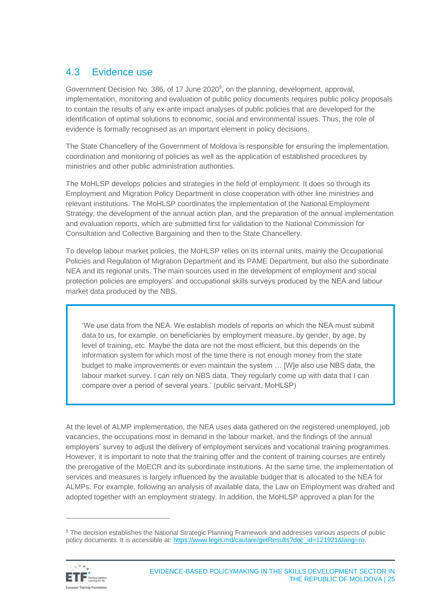### <span id="page-24-0"></span>4.3 Evidence use

Government Decision No. 386, of 17 June 2020<sup>9</sup>, on the planning, development, approval, implementation, monitoring and evaluation of public policy documents requires public policy proposals to contain the results of any ex-ante impact analyses of public policies that are developed for the identification of optimal solutions to economic, social and environmental issues. Thus, the role of evidence is formally recognised as an important element in policy decisions.

The State Chancellery of the Government of Moldova is responsible for ensuring the implementation, coordination and monitoring of policies as well as the application of established procedures by ministries and other public administration authorities.

The MoHLSP develops policies and strategies in the field of employment. It does so through its Employment and Migration Policy Department in close cooperation with other line ministries and relevant institutions. The MoHLSP coordinates the implementation of the National Employment Strategy, the development of the annual action plan, and the preparation of the annual implementation and evaluation reports, which are submitted first for validation to the National Commission for Consultation and Collective Bargaining and then to the State Chancellery.

To develop labour market policies, the MoHLSP relies on its internal units, mainly the Occupational Policies and Regulation of Migration Department and its PAME Department, but also the subordinate NEA and its regional units. The main sources used in the development of employment and social protection policies are employers' and occupational skills surveys produced by the NEA and labour market data produced by the NBS.

'We use data from the NEA. We establish models of reports on which the NEA must submit data to us, for example, on beneficiaries by employment measure, by gender, by age, by level of training, etc. Maybe the data are not the most efficient, but this depends on the information system for which most of the time there is not enough money from the state budget to make improvements or even maintain the system … [W]e also use NBS data, the labour market survey. I can rely on NBS data. They regularly come up with data that I can compare over a period of several years.' (public servant, MoHLSP)

At the level of ALMP implementation, the NEA uses data gathered on the registered unemployed, job vacancies, the occupations most in demand in the labour market, and the findings of the annual employers' survey to adjust the delivery of employment services and vocational training programmes. However, it is important to note that the training offer and the content of training courses are entirely the prerogative of the MoECR and its subordinate institutions. At the same time, the implementation of services and measures is largely influenced by the available budget that is allocated to the NEA for ALMPs. For example, following an analysis of available data, the Law on Employment was drafted and adopted together with an employment strategy. In addition, the MoHLSP approved a plan for the

<sup>&</sup>lt;sup>9</sup> The decision establishes the National Strategic Planning Framework and addresses various aspects of public policy documents. It is accessible at: [https://www.legis.md/cautare/getResults?doc\\_id=121921&lang=ro.](https://www.legis.md/cautare/getResults?doc_id=121921&lang=ro)

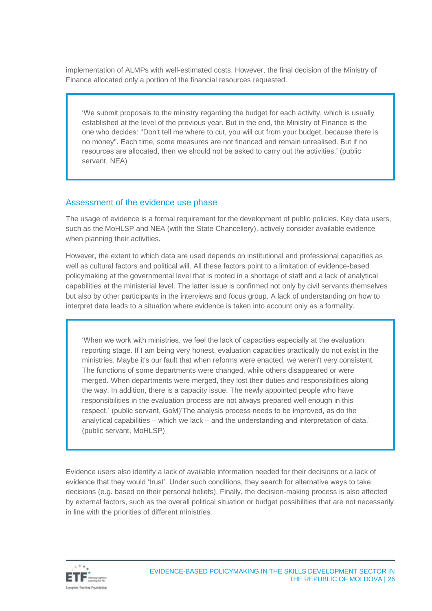implementation of ALMPs with well-estimated costs. However, the final decision of the Ministry of Finance allocated only a portion of the financial resources requested.

'We submit proposals to the ministry regarding the budget for each activity, which is usually established at the level of the previous year. But in the end, the Ministry of Finance is the one who decides: "Don't tell me where to cut, you will cut from your budget, because there is no money". Each time, some measures are not financed and remain unrealised. But if no resources are allocated, then we should not be asked to carry out the activities.' (public servant, NEA)

#### Assessment of the evidence use phase

The usage of evidence is a formal requirement for the development of public policies. Key data users, such as the MoHLSP and NEA (with the State Chancellery), actively consider available evidence when planning their activities.

However, the extent to which data are used depends on institutional and professional capacities as well as cultural factors and political will. All these factors point to a limitation of evidence-based policymaking at the governmental level that is rooted in a shortage of staff and a lack of analytical capabilities at the ministerial level. The latter issue is confirmed not only by civil servants themselves but also by other participants in the interviews and focus group. A lack of understanding on how to interpret data leads to a situation where evidence is taken into account only as a formality.

'When we work with ministries, we feel the lack of capacities especially at the evaluation reporting stage. If I am being very honest, evaluation capacities practically do not exist in the ministries. Maybe it's our fault that when reforms were enacted, we weren't very consistent. The functions of some departments were changed, while others disappeared or were merged. When departments were merged, they lost their duties and responsibilities along the way. In addition, there is a capacity issue. The newly appointed people who have responsibilities in the evaluation process are not always prepared well enough in this respect.' (public servant, GoM)'The analysis process needs to be improved, as do the analytical capabilities – which we lack – and the understanding and interpretation of data.' (public servant, MoHLSP)

Evidence users also identify a lack of available information needed for their decisions or a lack of evidence that they would 'trust'. Under such conditions, they search for alternative ways to take decisions (e.g. based on their personal beliefs). Finally, the decision-making process is also affected by external factors, such as the overall political situation or budget possibilities that are not necessarily in line with the priorities of different ministries.

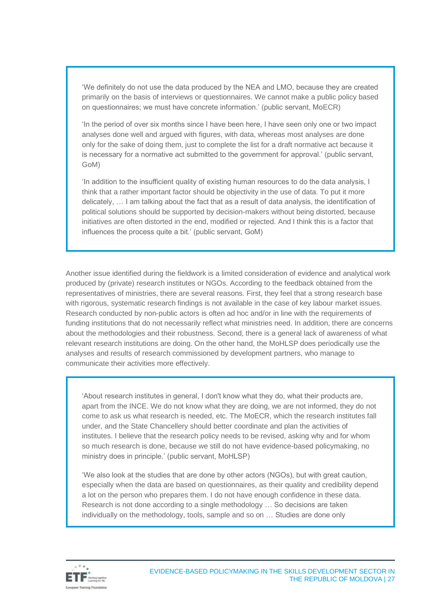'We definitely do not use the data produced by the NEA and LMO, because they are created primarily on the basis of interviews or questionnaires. We cannot make a public policy based on questionnaires; we must have concrete information.' (public servant, MoECR)

'In the period of over six months since I have been here, I have seen only one or two impact analyses done well and argued with figures, with data, whereas most analyses are done only for the sake of doing them, just to complete the list for a draft normative act because it is necessary for a normative act submitted to the government for approval.' (public servant, GoM)

'In addition to the insufficient quality of existing human resources to do the data analysis, I think that a rather important factor should be objectivity in the use of data. To put it more delicately, … I am talking about the fact that as a result of data analysis, the identification of political solutions should be supported by decision-makers without being distorted, because initiatives are often distorted in the end, modified or rejected. And I think this is a factor that influences the process quite a bit.' (public servant, GoM)

Another issue identified during the fieldwork is a limited consideration of evidence and analytical work produced by (private) research institutes or NGOs. According to the feedback obtained from the representatives of ministries, there are several reasons. First, they feel that a strong research base with rigorous, systematic research findings is not available in the case of key labour market issues. Research conducted by non-public actors is often ad hoc and/or in line with the requirements of funding institutions that do not necessarily reflect what ministries need. In addition, there are concerns about the methodologies and their robustness. Second, there is a general lack of awareness of what relevant research institutions are doing. On the other hand, the MoHLSP does periodically use the analyses and results of research commissioned by development partners, who manage to communicate their activities more effectively.

'About research institutes in general, I don't know what they do, what their products are, apart from the INCE. We do not know what they are doing, we are not informed, they do not come to ask us what research is needed, etc. The MoECR, which the research institutes fall under, and the State Chancellery should better coordinate and plan the activities of institutes. I believe that the research policy needs to be revised, asking why and for whom so much research is done, because we still do not have evidence-based policymaking, no ministry does in principle.' (public servant, MoHLSP)

'We also look at the studies that are done by other actors (NGOs), but with great caution, especially when the data are based on questionnaires, as their quality and credibility depend a lot on the person who prepares them. I do not have enough confidence in these data. Research is not done according to a single methodology … So decisions are taken individually on the methodology, tools, sample and so on … Studies are done only

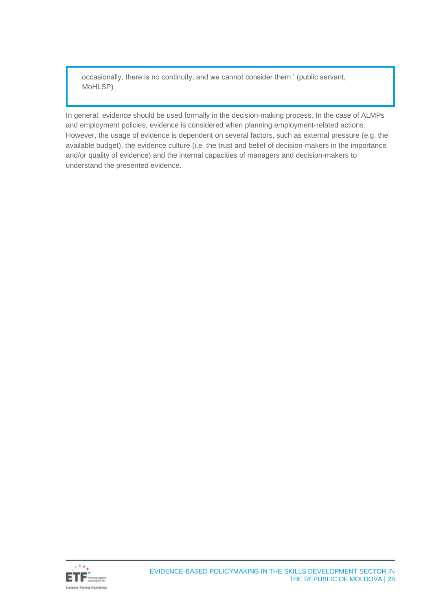occasionally, there is no continuity, and we cannot consider them.' (public servant, MoHLSP)

In general, evidence should be used formally in the decision-making process. In the case of ALMPs and employment policies, evidence is considered when planning employment-related actions. However, the usage of evidence is dependent on several factors, such as external pressure (e.g. the available budget), the evidence culture (i.e. the trust and belief of decision-makers in the importance and/or quality of evidence) and the internal capacities of managers and decision-makers to understand the presented evidence.

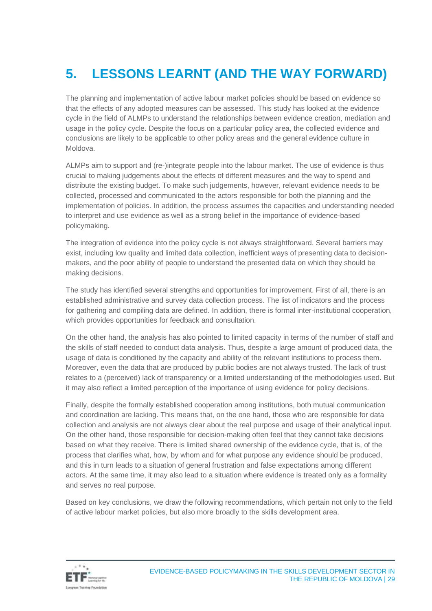# <span id="page-28-0"></span>**5. LESSONS LEARNT (AND THE WAY FORWARD)**

The planning and implementation of active labour market policies should be based on evidence so that the effects of any adopted measures can be assessed. This study has looked at the evidence cycle in the field of ALMPs to understand the relationships between evidence creation, mediation and usage in the policy cycle. Despite the focus on a particular policy area, the collected evidence and conclusions are likely to be applicable to other policy areas and the general evidence culture in Moldova.

ALMPs aim to support and (re-)integrate people into the labour market. The use of evidence is thus crucial to making judgements about the effects of different measures and the way to spend and distribute the existing budget. To make such judgements, however, relevant evidence needs to be collected, processed and communicated to the actors responsible for both the planning and the implementation of policies. In addition, the process assumes the capacities and understanding needed to interpret and use evidence as well as a strong belief in the importance of evidence-based policymaking.

The integration of evidence into the policy cycle is not always straightforward. Several barriers may exist, including low quality and limited data collection, inefficient ways of presenting data to decisionmakers, and the poor ability of people to understand the presented data on which they should be making decisions.

The study has identified several strengths and opportunities for improvement. First of all, there is an established administrative and survey data collection process. The list of indicators and the process for gathering and compiling data are defined. In addition, there is formal inter-institutional cooperation, which provides opportunities for feedback and consultation.

On the other hand, the analysis has also pointed to limited capacity in terms of the number of staff and the skills of staff needed to conduct data analysis. Thus, despite a large amount of produced data, the usage of data is conditioned by the capacity and ability of the relevant institutions to process them. Moreover, even the data that are produced by public bodies are not always trusted. The lack of trust relates to a (perceived) lack of transparency or a limited understanding of the methodologies used. But it may also reflect a limited perception of the importance of using evidence for policy decisions.

Finally, despite the formally established cooperation among institutions, both mutual communication and coordination are lacking. This means that, on the one hand, those who are responsible for data collection and analysis are not always clear about the real purpose and usage of their analytical input. On the other hand, those responsible for decision-making often feel that they cannot take decisions based on what they receive. There is limited shared ownership of the evidence cycle, that is, of the process that clarifies what, how, by whom and for what purpose any evidence should be produced, and this in turn leads to a situation of general frustration and false expectations among different actors. At the same time, it may also lead to a situation where evidence is treated only as a formality and serves no real purpose.

Based on key conclusions, we draw the following recommendations, which pertain not only to the field of active labour market policies, but also more broadly to the skills development area.

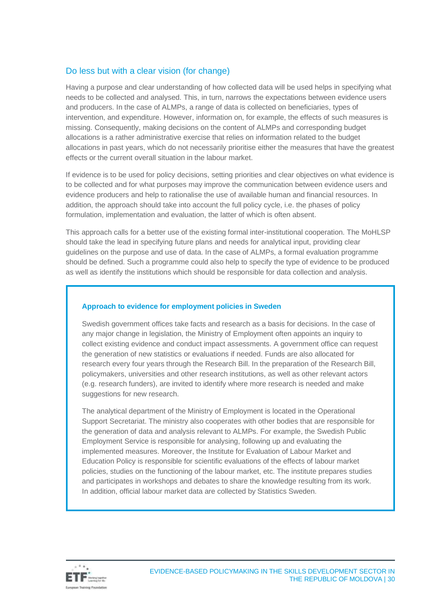#### Do less but with a clear vision (for change)

Having a purpose and clear understanding of how collected data will be used helps in specifying what needs to be collected and analysed. This, in turn, narrows the expectations between evidence users and producers. In the case of ALMPs, a range of data is collected on beneficiaries, types of intervention, and expenditure. However, information on, for example, the effects of such measures is missing. Consequently, making decisions on the content of ALMPs and corresponding budget allocations is a rather administrative exercise that relies on information related to the budget allocations in past years, which do not necessarily prioritise either the measures that have the greatest effects or the current overall situation in the labour market.

If evidence is to be used for policy decisions, setting priorities and clear objectives on what evidence is to be collected and for what purposes may improve the communication between evidence users and evidence producers and help to rationalise the use of available human and financial resources. In addition, the approach should take into account the full policy cycle, i.e. the phases of policy formulation, implementation and evaluation, the latter of which is often absent.

This approach calls for a better use of the existing formal inter-institutional cooperation. The MoHLSP should take the lead in specifying future plans and needs for analytical input, providing clear guidelines on the purpose and use of data. In the case of ALMPs, a formal evaluation programme should be defined. Such a programme could also help to specify the type of evidence to be produced as well as identify the institutions which should be responsible for data collection and analysis.

#### **Approach to evidence for employment policies in Sweden**

Swedish government offices take facts and research as a basis for decisions. In the case of any major change in legislation, the Ministry of Employment often appoints an inquiry to collect existing evidence and conduct impact assessments. A government office can request the generation of new statistics or evaluations if needed. Funds are also allocated for research every four years through the Research Bill. In the preparation of the Research Bill, policymakers, universities and other research institutions, as well as other relevant actors (e.g. research funders), are invited to identify where more research is needed and make suggestions for new research.

The analytical department of the Ministry of Employment is located in the Operational Support Secretariat. The ministry also cooperates with other bodies that are responsible for the generation of data and analysis relevant to ALMPs. For example, the Swedish Public Employment Service is responsible for analysing, following up and evaluating the implemented measures. Moreover, the Institute for Evaluation of Labour Market and Education Policy is responsible for scientific evaluations of the effects of labour market policies, studies on the functioning of the labour market, etc. The institute prepares studies and participates in workshops and debates to share the knowledge resulting from its work. In addition, official labour market data are collected by Statistics Sweden.

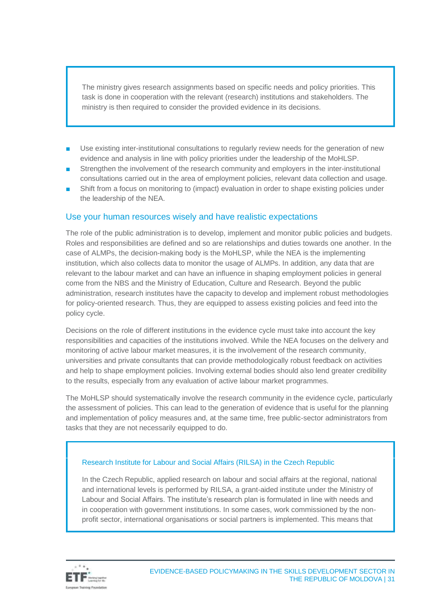The ministry gives research assignments based on specific needs and policy priorities. This task is done in cooperation with the relevant (research) institutions and stakeholders. The ministry is then required to consider the provided evidence in its decisions.

- Use existing inter-institutional consultations to regularly review needs for the generation of new evidence and analysis in line with policy priorities under the leadership of the MoHLSP.
- Strengthen the involvement of the research community and employers in the inter-institutional consultations carried out in the area of employment policies, relevant data collection and usage.
- Shift from a focus on monitoring to (impact) evaluation in order to shape existing policies under the leadership of the NEA.

#### Use your human resources wisely and have realistic expectations

The role of the public administration is to develop, implement and monitor public policies and budgets. Roles and responsibilities are defined and so are relationships and duties towards one another. In the case of ALMPs, the decision-making body is the MoHLSP, while the NEA is the implementing institution, which also collects data to monitor the usage of ALMPs. In addition, any data that are relevant to the labour market and can have an influence in shaping employment policies in general come from the NBS and the Ministry of Education, Culture and Research. Beyond the public administration, research institutes have the capacity to develop and implement robust methodologies for policy-oriented research. Thus, they are equipped to assess existing policies and feed into the policy cycle.

Decisions on the role of different institutions in the evidence cycle must take into account the key responsibilities and capacities of the institutions involved. While the NEA focuses on the delivery and monitoring of active labour market measures, it is the involvement of the research community, universities and private consultants that can provide methodologically robust feedback on activities and help to shape employment policies. Involving external bodies should also lend greater credibility to the results, especially from any evaluation of active labour market programmes.

The MoHLSP should systematically involve the research community in the evidence cycle, particularly the assessment of policies. This can lead to the generation of evidence that is useful for the planning and implementation of policy measures and, at the same time, free public-sector administrators from tasks that they are not necessarily equipped to do.

#### Research Institute for Labour and Social Affairs (RILSA) in the Czech Republic

In the Czech Republic, applied research on labour and social affairs at the regional, national and international levels is performed by RILSA, a grant-aided institute under the Ministry of Labour and Social Affairs. The institute's research plan is formulated in line with needs and in cooperation with government institutions. In some cases, work commissioned by the nonprofit sector, international organisations or social partners is implemented. This means that

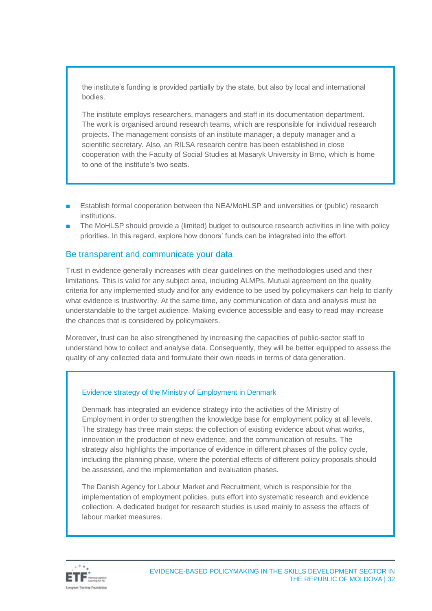the institute's funding is provided partially by the state, but also by local and international bodies.

The institute employs researchers, managers and staff in its documentation department. The work is organised around research teams, which are responsible for individual research projects. The management consists of an institute manager, a deputy manager and a scientific secretary. Also, an RILSA research centre has been established in close cooperation with the Faculty of Social Studies at Masaryk University in Brno, which is home to one of the institute's two seats.

- Establish formal cooperation between the NEA/MoHLSP and universities or (public) research institutions.
- The MoHLSP should provide a (limited) budget to outsource research activities in line with policy priorities. In this regard, explore how donors' funds can be integrated into the effort.

#### Be transparent and communicate your data

Trust in evidence generally increases with clear guidelines on the methodologies used and their limitations. This is valid for any subject area, including ALMPs. Mutual agreement on the quality criteria for any implemented study and for any evidence to be used by policymakers can help to clarify what evidence is trustworthy. At the same time, any communication of data and analysis must be understandable to the target audience. Making evidence accessible and easy to read may increase the chances that is considered by policymakers.

Moreover, trust can be also strengthened by increasing the capacities of public-sector staff to understand how to collect and analyse data. Consequently, they will be better equipped to assess the quality of any collected data and formulate their own needs in terms of data generation.

#### Evidence strategy of the Ministry of Employment in Denmark

Denmark has integrated an evidence strategy into the activities of the Ministry of Employment in order to strengthen the knowledge base for employment policy at all levels. The strategy has three main steps: the collection of existing evidence about what works, innovation in the production of new evidence, and the communication of results. The strategy also highlights the importance of evidence in different phases of the policy cycle, including the planning phase, where the potential effects of different policy proposals should be assessed, and the implementation and evaluation phases.

The Danish Agency for Labour Market and Recruitment, which is responsible for the implementation of employment policies, puts effort into systematic research and evidence collection. A dedicated budget for research studies is used mainly to assess the effects of labour market measures.

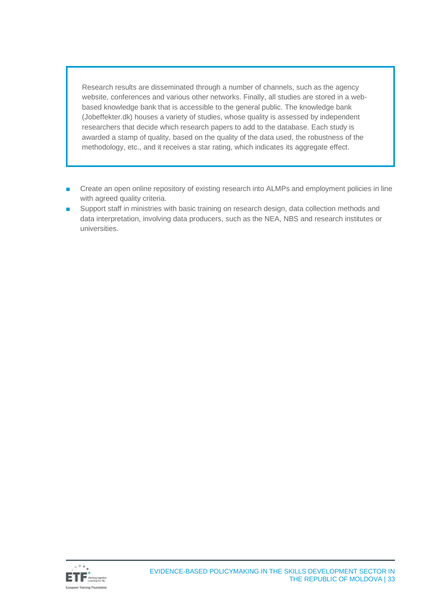Research results are disseminated through a number of channels, such as the agency website, conferences and various other networks. Finally, all studies are stored in a webbased knowledge bank that is accessible to the general public. The knowledge bank (Jobeffekter.dk) houses a variety of studies, whose quality is assessed by independent researchers that decide which research papers to add to the database. Each study is awarded a stamp of quality, based on the quality of the data used, the robustness of the methodology, etc., and it receives a star rating, which indicates its aggregate effect.

- Create an open online repository of existing research into ALMPs and employment policies in line with agreed quality criteria.
- Support staff in ministries with basic training on research design, data collection methods and data interpretation, involving data producers, such as the NEA, NBS and research institutes or universities.

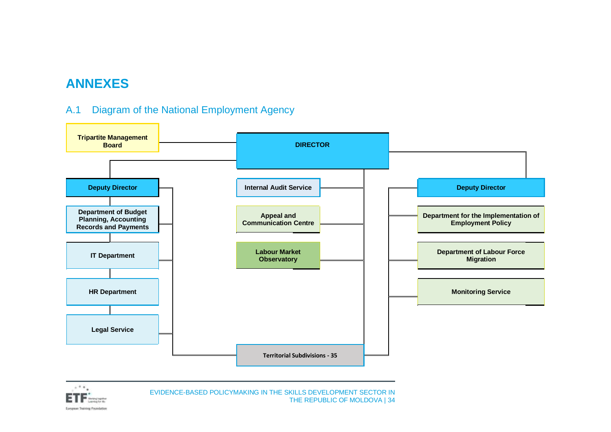## **ANNEXES**

### A.1 Diagram of the National Employment Agency

<span id="page-33-0"></span>

<span id="page-33-1"></span>

EVIDENCE-BASED POLICYMAKING IN THE SKILLS DEVELOPMENT SECTOR IN THE REPUBLIC OF MOLDOVA | 34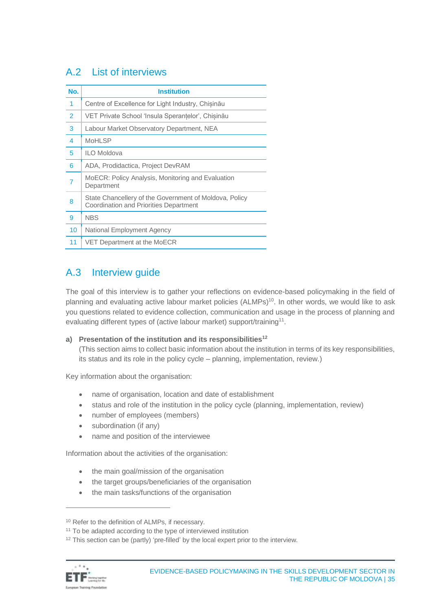### <span id="page-34-0"></span>A.2 List of interviews

| No.            | <b>Institution</b>                                                                                      |
|----------------|---------------------------------------------------------------------------------------------------------|
| $\overline{1}$ | Centre of Excellence for Light Industry, Chisinău                                                       |
| $\overline{2}$ | VET Private School 'Insula Sperantelor', Chisinău                                                       |
| 3              | Labour Market Observatory Department, NEA                                                               |
| $\overline{4}$ | <b>MoHLSP</b>                                                                                           |
| 5              | ILO Moldova                                                                                             |
| 6              | ADA, Prodidactica, Project DevRAM                                                                       |
| 7              | MoECR: Policy Analysis, Monitoring and Evaluation<br>Department                                         |
| 8              | State Chancellery of the Government of Moldova, Policy<br><b>Coordination and Priorities Department</b> |
| 9              | <b>NBS</b>                                                                                              |
| 10             | National Employment Agency                                                                              |
| 11             | VET Department at the MoECR                                                                             |

### <span id="page-34-1"></span>A.3 Interview guide

The goal of this interview is to gather your reflections on evidence-based policymaking in the field of planning and evaluating active labour market policies (ALMPs)<sup>10</sup>. In other words, we would like to ask you questions related to evidence collection, communication and usage in the process of planning and evaluating different types of (active labour market) support/training<sup>11</sup>.

#### **a) Presentation of the institution and its responsibilities<sup>12</sup>**

(This section aims to collect basic information about the institution in terms of its key responsibilities, its status and its role in the policy cycle – planning, implementation, review.)

Key information about the organisation:

- name of organisation, location and date of establishment
- status and role of the institution in the policy cycle (planning, implementation, review)
- number of employees (members)
- subordination (if any)
- name and position of the interviewee

Information about the activities of the organisation:

- the main goal/mission of the organisation
- the target groups/beneficiaries of the organisation
- the main tasks/functions of the organisation

<sup>&</sup>lt;sup>12</sup> This section can be (partly) 'pre-filled' by the local expert prior to the interview.



<sup>&</sup>lt;sup>10</sup> Refer to the definition of ALMPs, if necessary.

<sup>&</sup>lt;sup>11</sup> To be adapted according to the type of interviewed institution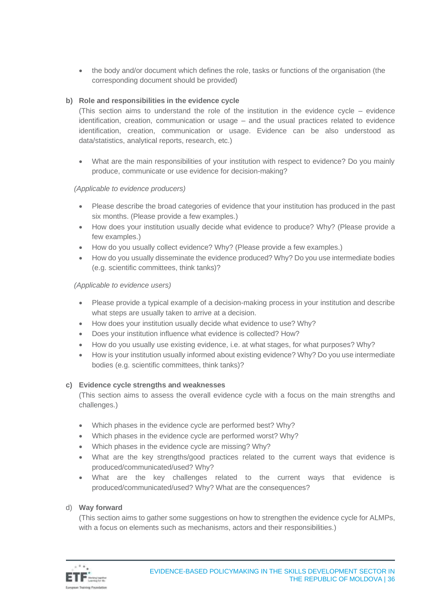• the body and/or document which defines the role, tasks or functions of the organisation (the corresponding document should be provided)

#### **b) Role and responsibilities in the evidence cycle**

(This section aims to understand the role of the institution in the evidence cycle – evidence identification, creation, communication or usage – and the usual practices related to evidence identification, creation, communication or usage. Evidence can be also understood as data/statistics, analytical reports, research, etc.)

• What are the main responsibilities of your institution with respect to evidence? Do you mainly produce, communicate or use evidence for decision-making?

#### *(Applicable to evidence producers)*

- Please describe the broad categories of evidence that your institution has produced in the past six months. (Please provide a few examples.)
- How does your institution usually decide what evidence to produce? Why? (Please provide a few examples.)
- How do you usually collect evidence? Why? (Please provide a few examples.)
- How do you usually disseminate the evidence produced? Why? Do you use intermediate bodies (e.g. scientific committees, think tanks)?

#### *(Applicable to evidence users)*

- Please provide a typical example of a decision-making process in your institution and describe what steps are usually taken to arrive at a decision.
- How does your institution usually decide what evidence to use? Why?
- Does your institution influence what evidence is collected? How?
- How do you usually use existing evidence, i.e. at what stages, for what purposes? Why?
- How is your institution usually informed about existing evidence? Why? Do you use intermediate bodies (e.g. scientific committees, think tanks)?

#### **c) Evidence cycle strengths and weaknesses**

(This section aims to assess the overall evidence cycle with a focus on the main strengths and challenges.)

- Which phases in the evidence cycle are performed best? Why?
- Which phases in the evidence cycle are performed worst? Why?
- Which phases in the evidence cycle are missing? Why?
- What are the key strengths/good practices related to the current ways that evidence is produced/communicated/used? Why?
- What are the key challenges related to the current ways that evidence is produced/communicated/used? Why? What are the consequences?

#### d) **Way forward**

(This section aims to gather some suggestions on how to strengthen the evidence cycle for ALMPs, with a focus on elements such as mechanisms, actors and their responsibilities.)

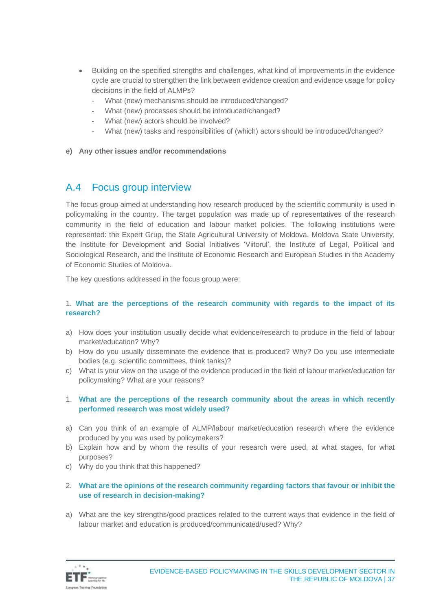- Building on the specified strengths and challenges, what kind of improvements in the evidence cycle are crucial to strengthen the link between evidence creation and evidence usage for policy decisions in the field of ALMPs?
	- What (new) mechanisms should be introduced/changed?
	- What (new) processes should be introduced/changed?
	- What (new) actors should be involved?
	- What (new) tasks and responsibilities of (which) actors should be introduced/changed?
- **e) Any other issues and/or recommendations**

### <span id="page-36-0"></span>A.4 Focus group interview

The focus group aimed at understanding how research produced by the scientific community is used in policymaking in the country. The target population was made up of representatives of the research community in the field of education and labour market policies. The following institutions were represented: the Expert Grup, the State Agricultural University of Moldova, Moldova State University, the Institute for Development and Social Initiatives 'Viitorul', the Institute of Legal, Political and Sociological Research, and the Institute of Economic Research and European Studies in the Academy of Economic Studies of Moldova.

The key questions addressed in the focus group were:

#### 1. **What are the perceptions of the research community with regards to the impact of its research?**

- a) How does your institution usually decide what evidence/research to produce in the field of labour market/education? Why?
- b) How do you usually disseminate the evidence that is produced? Why? Do you use intermediate bodies (e.g. scientific committees, think tanks)?
- c) What is your view on the usage of the evidence produced in the field of labour market/education for policymaking? What are your reasons?
- 1. **What are the perceptions of the research community about the areas in which recently performed research was most widely used?**
- a) Can you think of an example of ALMP/labour market/education research where the evidence produced by you was used by policymakers?
- b) Explain how and by whom the results of your research were used, at what stages, for what purposes?
- c) Why do you think that this happened?
- 2. **What are the opinions of the research community regarding factors that favour or inhibit the use of research in decision-making?**
- a) What are the key strengths/good practices related to the current ways that evidence in the field of labour market and education is produced/communicated/used? Why?

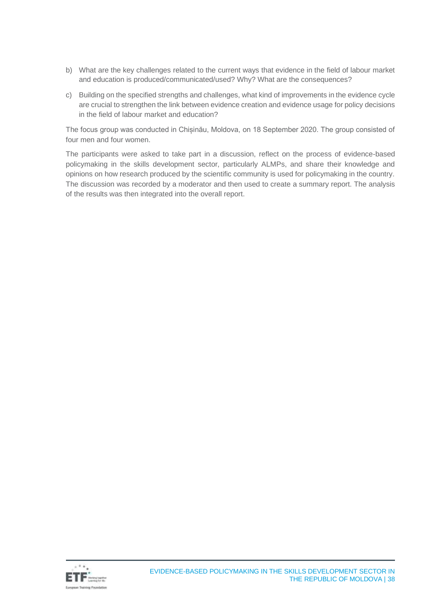- b) What are the key challenges related to the current ways that evidence in the field of labour market and education is produced/communicated/used? Why? What are the consequences?
- c) Building on the specified strengths and challenges, what kind of improvements in the evidence cycle are crucial to strengthen the link between evidence creation and evidence usage for policy decisions in the field of labour market and education?

The focus group was conducted in Chișinău, Moldova, on 18 September 2020. The group consisted of four men and four women.

The participants were asked to take part in a discussion, reflect on the process of evidence-based policymaking in the skills development sector, particularly ALMPs, and share their knowledge and opinions on how research produced by the scientific community is used for policymaking in the country. The discussion was recorded by a moderator and then used to create a summary report. The analysis of the results was then integrated into the overall report.

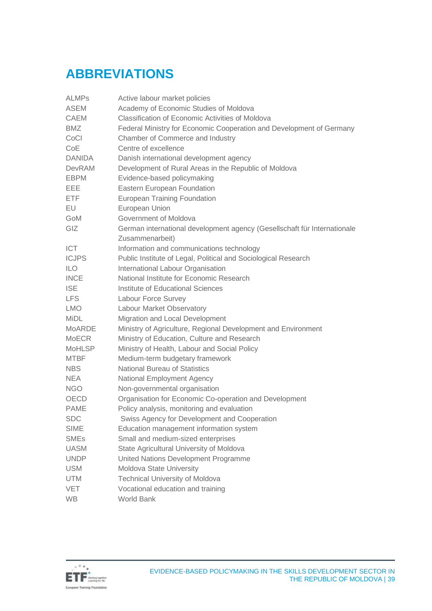# <span id="page-38-0"></span>**ABBREVIATIONS**

| <b>ALMPs</b>  | Active labour market policies                                            |
|---------------|--------------------------------------------------------------------------|
| <b>ASEM</b>   | Academy of Economic Studies of Moldova                                   |
| <b>CAEM</b>   | Classification of Economic Activities of Moldova                         |
| <b>BMZ</b>    | Federal Ministry for Economic Cooperation and Development of Germany     |
| CoCl          | Chamber of Commerce and Industry                                         |
| CoE           | Centre of excellence                                                     |
| <b>DANIDA</b> | Danish international development agency                                  |
| <b>DevRAM</b> | Development of Rural Areas in the Republic of Moldova                    |
| <b>EBPM</b>   | Evidence-based policymaking                                              |
| <b>EEE</b>    | Eastern European Foundation                                              |
| <b>ETF</b>    | <b>European Training Foundation</b>                                      |
| EU            | European Union                                                           |
| GoM           | Government of Moldova                                                    |
| GIZ           | German international development agency (Gesellschaft für Internationale |
|               | Zusammenarbeit)                                                          |
| ICT           | Information and communications technology                                |
| <b>ICJPS</b>  | Public Institute of Legal, Political and Sociological Research           |
| <b>ILO</b>    | International Labour Organisation                                        |
| <b>INCE</b>   | National Institute for Economic Research                                 |
| <b>ISE</b>    | Institute of Educational Sciences                                        |
| <b>LFS</b>    | Labour Force Survey                                                      |
| <b>LMO</b>    | Labour Market Observatory                                                |
| <b>MiDL</b>   | Migration and Local Development                                          |
| <b>MoARDE</b> | Ministry of Agriculture, Regional Development and Environment            |
| <b>MoECR</b>  | Ministry of Education, Culture and Research                              |
| <b>MoHLSP</b> | Ministry of Health, Labour and Social Policy                             |
| <b>MTBF</b>   | Medium-term budgetary framework                                          |
| <b>NBS</b>    | <b>National Bureau of Statistics</b>                                     |
| <b>NEA</b>    | National Employment Agency                                               |
| <b>NGO</b>    | Non-governmental organisation                                            |
| OECD          | Organisation for Economic Co-operation and Development                   |
| <b>PAME</b>   | Policy analysis, monitoring and evaluation                               |
| <b>SDC</b>    | Swiss Agency for Development and Cooperation                             |
| <b>SIME</b>   | Education management information system                                  |
| <b>SMEs</b>   | Small and medium-sized enterprises                                       |
| <b>UASM</b>   | State Agricultural University of Moldova                                 |
| <b>UNDP</b>   | United Nations Development Programme                                     |
| <b>USM</b>    | Moldova State University                                                 |
| <b>UTM</b>    | <b>Technical University of Moldova</b>                                   |
| <b>VET</b>    | Vocational education and training                                        |
| <b>WB</b>     | World Bank                                                               |

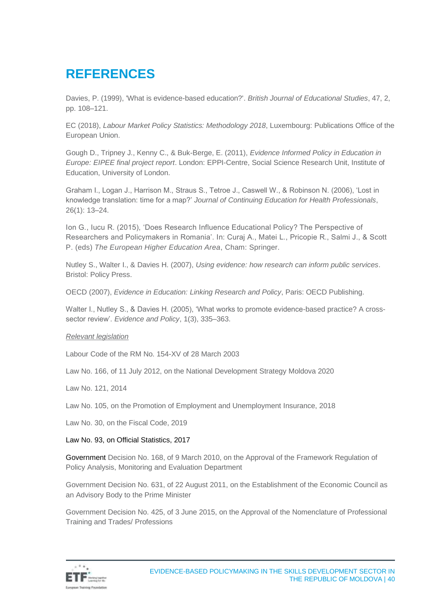# <span id="page-39-0"></span>**REFERENCES**

Davies, P. (1999), 'What is evidence-based education?'. *British Journal of Educational Studies*, 47, 2, pp. 108–121.

EC (2018), *Labour Market Policy Statistics: Methodology 2018*, Luxembourg: Publications Office of the European Union.

Gough D., Tripney J., Kenny C., & Buk-Berge, E. (2011), *Evidence Informed Policy in Education in Europe: EIPEE final project report*. London: EPPI-Centre, Social Science Research Unit, Institute of Education, University of London.

Graham I., Logan J., Harrison M., Straus S., Tetroe J., Caswell W., & Robinson N. (2006), 'Lost in knowledge translation: time for a map?' *Journal of Continuing Education for Health Professionals*, 26(1): 13–24.

Ion G., Iucu R. (2015), 'Does Research Influence Educational Policy? The Perspective of Researchers and Policymakers in Romania'. In: Curaj A., Matei L., Pricopie R., Salmi J., & Scott P. (eds) *The European Higher Education Area*, Cham: Springer.

Nutley S., Walter I., & Davies H. (2007), *Using evidence: how research can inform public services*. Bristol: Policy Press.

OECD (2007), *Evidence in Education: Linking Research and Policy*, Paris: OECD Publishing.

Walter I., Nutley S., & Davies H. (2005), 'What works to promote evidence-based practice? A crosssector review'. *Evidence and Policy*, 1(3), 335–363.

#### *Relevant legislation*

Labour Code of the RM No. 154-XV of 28 March 2003

Law No. 166, of 11 July 2012, on the National Development Strategy Moldova 2020

Law No. 121, 2014

Law No. 105, on the Promotion of Employment and Unemployment Insurance, 2018

Law No. 30, on the Fiscal Code, 2019

#### Law No. 93, on Official Statistics, 2017

Government Decision No. 168, of 9 March 2010, on the Approval of the Framework Regulation of Policy Analysis, Monitoring and Evaluation Department

Government Decision No. 631, of 22 August 2011, on the Establishment of the Economic Council as an Advisory Body to the Prime Minister

Government Decision No. 425, of 3 June 2015, on the Approval of the Nomenclature of Professional Training and Trades/ Professions